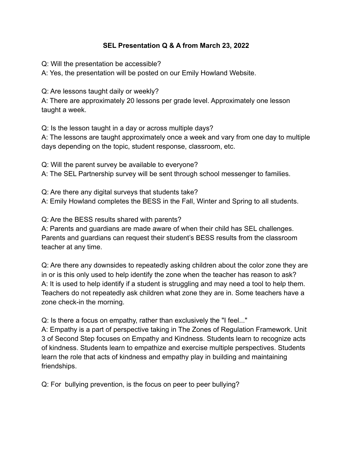## **SEL Presentation Q & A from March 23, 2022**

Q: Will the presentation be accessible?

A: Yes, the presentation will be posted on our Emily Howland Website.

Q: Are lessons taught daily or weekly?

A: There are approximately 20 lessons per grade level. Approximately one lesson taught a week.

Q: Is the lesson taught in a day or across multiple days?

A: The lessons are taught approximately once a week and vary from one day to multiple days depending on the topic, student response, classroom, etc.

Q: Will the parent survey be available to everyone?

A: The SEL Partnership survey will be sent through school messenger to families.

Q: Are there any digital surveys that students take?

A: Emily Howland completes the BESS in the Fall, Winter and Spring to all students.

Q: Are the BESS results shared with parents?

A: Parents and guardians are made aware of when their child has SEL challenges. Parents and guardians can request their student's BESS results from the classroom teacher at any time.

Q: Are there any downsides to repeatedly asking children about the color zone they are in or is this only used to help identify the zone when the teacher has reason to ask? A: It is used to help identify if a student is struggling and may need a tool to help them. Teachers do not repeatedly ask children what zone they are in. Some teachers have a zone check-in the morning.

Q: Is there a focus on empathy, rather than exclusively the "I feel..."

A: Empathy is a part of perspective taking in The Zones of Regulation Framework. Unit 3 of Second Step focuses on Empathy and Kindness. Students learn to recognize acts of kindness. Students learn to empathize and exercise multiple perspectives. Students learn the role that acts of kindness and empathy play in building and maintaining friendships.

Q: For bullying prevention, is the focus on peer to peer bullying?